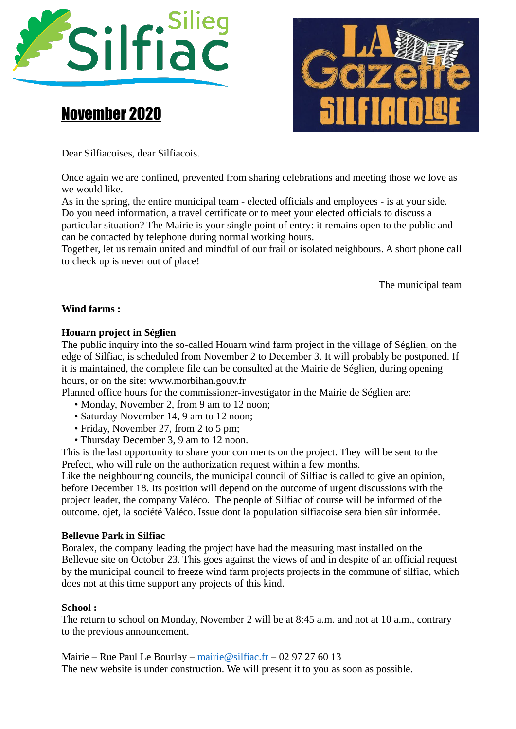

# November 2020



Dear Silfiacoises, dear Silfiacois.

Once again we are confined, prevented from sharing celebrations and meeting those we love as we would like.

As in the spring, the entire municipal team - elected officials and employees - is at your side. Do you need information, a travel certificate or to meet your elected officials to discuss a particular situation? The Mairie is your single point of entry: it remains open to the public and can be contacted by telephone during normal working hours.

Together, let us remain united and mindful of our frail or isolated neighbours. A short phone call to check up is never out of place!

The municipal team

## **Wind farms :**

## **Houarn project in Séglien**

The public inquiry into the so-called Houarn wind farm project in the village of Séglien, on the edge of Silfiac, is scheduled from November 2 to December 3. It will probably be postponed. If it is maintained, the complete file can be consulted at the Mairie de Séglien, during opening hours, or on the site: www.morbihan.gouv.fr

Planned office hours for the commissioner-investigator in the Mairie de Séglien are:

- Monday, November 2, from 9 am to 12 noon:
- Saturday November 14, 9 am to 12 noon;
- Friday, November 27, from 2 to 5 pm;
- Thursday December 3, 9 am to 12 noon.

This is the last opportunity to share your comments on the project. They will be sent to the Prefect, who will rule on the authorization request within a few months.

Like the neighbouring councils, the municipal council of Silfiac is called to give an opinion, before December 18. Its position will depend on the outcome of urgent discussions with the project leader, the company Valéco. The people of Silfiac of course will be informed of the outcome. ojet, la société Valéco. Issue dont la population silfiacoise sera bien sûr informée.

#### **Bellevue Park in Silfiac**

Boralex, the company leading the project have had the measuring mast installed on the Bellevue site on October 23. This goes against the views of and in despite of an official request by the municipal council to freeze wind farm projects projects in the commune of silfiac, which does not at this time support any projects of this kind.

#### **School**:

The return to school on Monday, November 2 will be at 8:45 a.m. and not at 10 a.m., contrary to the previous announcement.

Mairie – Rue Paul Le Bourlay – [mairie@silfiac.fr](mailto:mairie@silfiac.fr) – 02 97 27 60 13 The new website is under construction. We will present it to you as soon as possible.